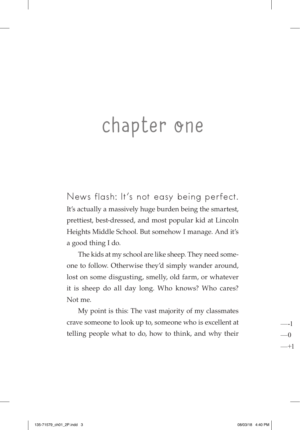## chapter one

News flash: It's not easy being perfect. It's actually a massively huge burden being the smartest, prettiest, best-dressed, and most popular kid at Lincoln Heights Middle School. But somehow I manage. And it's a good thing I do.

The kids at my school are like sheep. They need someone to follow. Otherwise they'd simply wander around, lost on some disgusting, smelly, old farm, or whatever it is sheep do all day long. Who knows? Who cares? Not me.

My point is this: The vast majority of my classmates crave someone to look up to, someone who is excellent at telling people what to do, how to think, and why their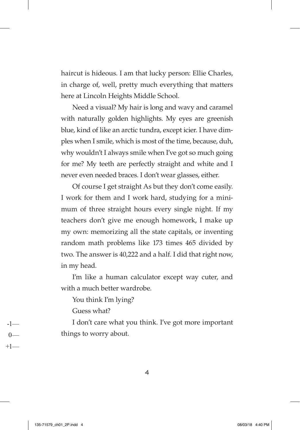haircut is hideous. I am that lucky person: Ellie Charles, in charge of, well, pretty much everything that matters here at Lincoln Heights Middle School.

Need a visual? My hair is long and wavy and caramel with naturally golden highlights. My eyes are greenish blue, kind of like an arctic tundra, except icier. I have dimples when I smile, which is most of the time, because, duh, why wouldn't I always smile when I've got so much going for me? My teeth are perfectly straight and white and I never even needed braces. I don't wear glasses, either.

Of course I get straight As but they don't come easily. I work for them and I work hard, studying for a minimum of three straight hours every single night. If my teachers don't give me enough homework, I make up my own: memorizing all the state capitals, or inventing random math problems like 173 times 465 divided by two. The answer is 40,222 and a half. I did that right now, in my head.

I'm like a human calculator except way cuter, and with a much better wardrobe.

You think I'm lying?

Guess what?

I don't care what you think. I've got more important things to worry about.

4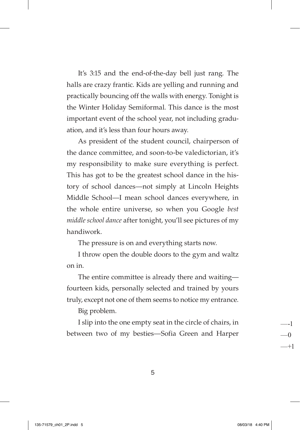It's 3:15 and the end-of-the-day bell just rang. The halls are crazy frantic. Kids are yelling and running and practically bouncing off the walls with energy. Tonight is the Winter Holiday Semiformal. This dance is the most important event of the school year, not including graduation, and it's less than four hours away.

As president of the student council, chairperson of the dance committee, and soon-to-be valedictorian, it's my responsibility to make sure everything is perfect. This has got to be the greatest school dance in the history of school dances—not simply at Lincoln Heights Middle School—I mean school dances everywhere, in the whole entire universe, so when you Google *best middle school dance* after tonight, you'll see pictures of my handiwork.

The pressure is on and everything starts now.

I throw open the double doors to the gym and waltz on in.

The entire committee is already there and waiting fourteen kids, personally selected and trained by yours truly, except not one of them seems to notice my entrance.

Big problem.

I slip into the one empty seat in the circle of chairs, in between two of my besties—Sofia Green and Harper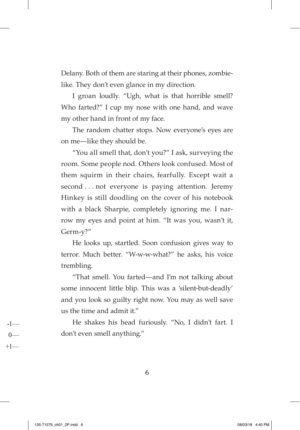Delany. Both of them are staring at their phones, zombielike. They don't even glance in my direction.

I groan loudly. "Ugh, what is that horrible smell? Who farted?" I cup my nose with one hand, and wave my other hand in front of my face.

The random chatter stops. Now everyone's eyes are on me—like they should be.

"You all smell that, don't you?" I ask, surveying the room. Some people nod. Others look confused. Most of them squirm in their chairs, fearfully. Except wait a second . . . not everyone is paying attention. Jeremy Hinkey is still doodling on the cover of his notebook with a black Sharpie, completely ignoring me. I narrow my eyes and point at him. "It was you, wasn't it, Germ-y?"

He looks up, startled. Soon confusion gives way to terror. Much better. "W-w-w-what?" he asks, his voice trembling.

"That smell. You farted—and I'm not talking about some innocent little blip. This was a 'silent-but-deadly' and you look so guilty right now. You may as well save us the time and admit it."

He shakes his head furiously. "No, I didn't fart. I don't even smell anything."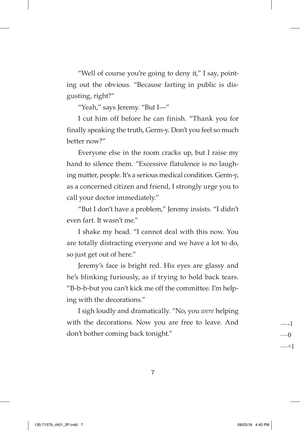"Well of course you're going to deny it," I say, pointing out the obvious. "Because farting in public is disgusting, right?"

"Yeah," says Jeremy. "But I—"

I cut him off before he can finish. "Thank you for finally speaking the truth, Germ-y. Don't you feel so much better now?"

Everyone else in the room cracks up, but I raise my hand to silence them. "Excessive flatulence is no laughing matter, people. It's a serious medical condition. Germ-y, as a concerned citizen and friend, I strongly urge you to call your doctor immediately."

"But I don't have a problem," Jeremy insists. "I didn't even fart. It wasn't me."

I shake my head. "I cannot deal with this now. You are totally distracting everyone and we have a lot to do, so just get out of here."

Jeremy's face is bright red. His eyes are glassy and he's blinking furiously, as if trying to hold back tears. "B-b-b-but you can't kick me off the committee. I'm helping with the decorations."

I sigh loudly and dramatically. "No, you *were* helping with the decorations. Now you are free to leave. And don't bother coming back tonight."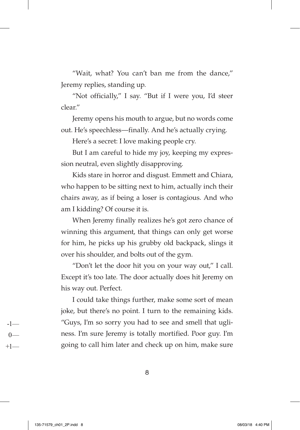"Wait, what? You can't ban me from the dance," Jeremy replies, standing up.

"Not officially," I say. "But if I were you, I'd steer clear."

Jeremy opens his mouth to argue, but no words come out. He's speechless—finally. And he's actually crying.

Here's a secret: I love making people cry.

But I am careful to hide my joy, keeping my expression neutral, even slightly disapproving.

Kids stare in horror and disgust. Emmett and Chiara, who happen to be sitting next to him, actually inch their chairs away, as if being a loser is contagious. And who am I kidding? Of course it is.

When Jeremy finally realizes he's got zero chance of winning this argument, that things can only get worse for him, he picks up his grubby old backpack, slings it over his shoulder, and bolts out of the gym.

"Don't let the door hit you on your way out," I call. Except it's too late. The door actually does hit Jeremy on his way out. Perfect.

I could take things further, make some sort of mean joke, but there's no point. I turn to the remaining kids. "Guys, I'm so sorry you had to see and smell that ugliness. I'm sure Jeremy is totally mortified. Poor guy. I'm going to call him later and check up on him, make sure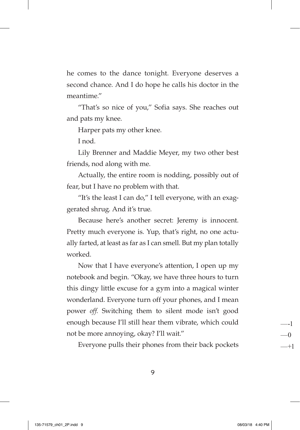he comes to the dance tonight. Everyone deserves a second chance. And I do hope he calls his doctor in the meantime."

"That's so nice of you," Sofia says. She reaches out and pats my knee.

Harper pats my other knee.

I nod.

Lily Brenner and Maddie Meyer, my two other best friends, nod along with me.

Actually, the entire room is nodding, possibly out of fear, but I have no problem with that.

"It's the least I can do," I tell everyone, with an exaggerated shrug. And it's true.

Because here's another secret: Jeremy is innocent. Pretty much everyone is. Yup, that's right, no one actually farted, at least as far as I can smell. But my plan totally worked.

Now that I have everyone's attention, I open up my notebook and begin. "Okay, we have three hours to turn this dingy little excuse for a gym into a magical winter wonderland. Everyone turn off your phones, and I mean power *off*. Switching them to silent mode isn't good enough because I'll still hear them vibrate, which could not be more annoying, okay? I'll wait."

Everyone pulls their phones from their back pockets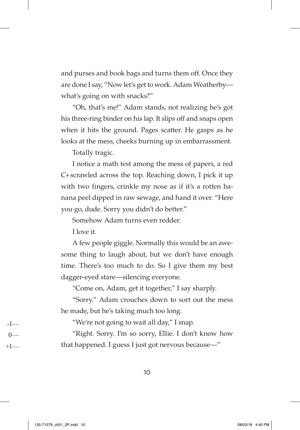and purses and book bags and turns them off. Once they are done I say, "Now let's get to work. Adam Weatherby what's going on with snacks?"

"Oh, that's me!" Adam stands, not realizing he's got his three-ring binder on his lap. It slips off and snaps open when it hits the ground. Pages scatter. He gasps as he looks at the mess, cheeks burning up in embarrassment.

Totally tragic.

I notice a math test among the mess of papers, a red C+scrawled across the top. Reaching down, I pick it up with two fingers, crinkle my nose as if it's a rotten banana peel dipped in raw sewage, and hand it over. "Here you go, dude. Sorry you didn't do better."

Somehow Adam turns even redder.

I love it.

A few people giggle. Normally this would be an awesome thing to laugh about, but we don't have enough time. There's too much to do. So I give them my best dagger-eyed stare—silencing everyone.

"Come on, Adam, get it together," I say sharply.

"Sorry." Adam crouches down to sort out the mess he made, but he's taking much too long.

"We're not going to wait all day," I snap.

"Right. Sorry. I'm so sorry, Ellie. I don't know how that happened. I guess I just got nervous because—"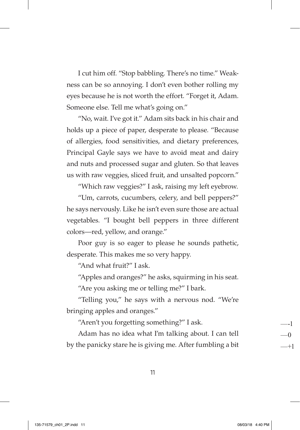I cut him off. "Stop babbling. There's no time." Weakness can be so annoying. I don't even bother rolling my eyes because he is not worth the effort. "Forget it, Adam. Someone else. Tell me what's going on."

"No, wait. I've got it." Adam sits back in his chair and holds up a piece of paper, desperate to please. "Because of allergies, food sensitivities, and dietary preferences, Principal Gayle says we have to avoid meat and dairy and nuts and processed sugar and gluten. So that leaves us with raw veggies, sliced fruit, and unsalted popcorn."

"Which raw veggies?" I ask, raising my left eyebrow.

"Um, carrots, cucumbers, celery, and bell peppers?" he says nervously. Like he isn't even sure those are actual vegetables. "I bought bell peppers in three different colors—red, yellow, and orange."

Poor guy is so eager to please he sounds pathetic, desperate. This makes me so very happy.

"And what fruit?" I ask.

"Apples and oranges?" he asks, squirming in his seat.

"Are you asking me or telling me?" I bark.

"Telling you," he says with a nervous nod. "We're bringing apples and oranges."

"Aren't you forgetting something?" I ask.

Adam has no idea what I'm talking about. I can tell by the panicky stare he is giving me. After fumbling a bit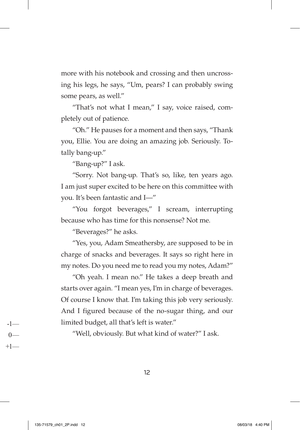more with his notebook and crossing and then uncrossing his legs, he says, "Um, pears? I can probably swing some pears, as well."

"That's not what I mean," I say, voice raised, completely out of patience.

"Oh." He pauses for a moment and then says, "Thank you, Ellie. You are doing an amazing job. Seriously. Totally bang-up."

"Bang-up?" I ask.

"Sorry. Not bang-up. That's so, like, ten years ago. I am just super excited to be here on this committee with you. It's been fantastic and I—"

"You forgot beverages," I scream, interrupting because who has time for this nonsense? Not me.

"Beverages?" he asks.

"Yes, you, Adam Smeathersby, are supposed to be in charge of snacks and beverages. It says so right here in my notes. Do you need me to read you my notes, Adam?"

"Oh yeah. I mean no." He takes a deep breath and starts over again. "I mean yes, I'm in charge of beverages. Of course I know that. I'm taking this job very seriously. And I figured because of the no-sugar thing, and our limited budget, all that's left is water."

"Well, obviously. But what kind of water?" I ask.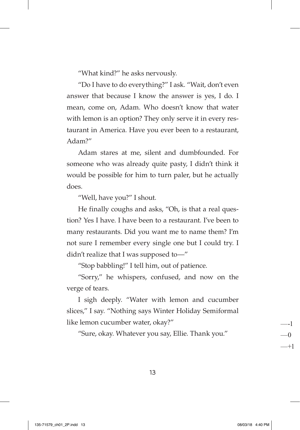"What kind?" he asks nervously.

"Do I have to do everything?" I ask. "Wait, don't even answer that because I know the answer is yes, I do. I mean, come on, Adam. Who doesn't know that water with lemon is an option? They only serve it in every restaurant in America. Have you ever been to a restaurant, Adam?"

Adam stares at me, silent and dumbfounded. For someone who was already quite pasty, I didn't think it would be possible for him to turn paler, but he actually does.

"Well, have you?" I shout.

He finally coughs and asks, "Oh, is that a real question? Yes I have. I have been to a restaurant. I've been to many restaurants. Did you want me to name them? I'm not sure I remember every single one but I could try. I didn't realize that I was supposed to—"

"Stop babbling!" I tell him, out of patience.

"Sorry," he whispers, confused, and now on the verge of tears.

I sigh deeply. "Water with lemon and cucumber slices," I say. "Nothing says Winter Holiday Semiformal like lemon cucumber water, okay?"

"Sure, okay. Whatever you say, Ellie. Thank you."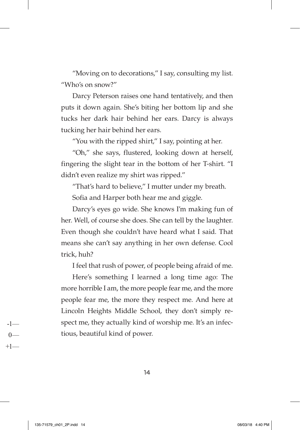"Moving on to decorations," I say, consulting my list. "Who's on snow?"

Darcy Peterson raises one hand tentatively, and then puts it down again. She's biting her bottom lip and she tucks her dark hair behind her ears. Darcy is always tucking her hair behind her ears.

"You with the ripped shirt," I say, pointing at her.

"Oh," she says, flustered, looking down at herself, fingering the slight tear in the bottom of her T-shirt. "I didn't even realize my shirt was ripped."

"That's hard to believe," I mutter under my breath.

Sofia and Harper both hear me and giggle.

Darcy's eyes go wide. She knows I'm making fun of her. Well, of course she does. She can tell by the laughter. Even though she couldn't have heard what I said. That means she can't say anything in her own defense. Cool trick, huh?

I feel that rush of power, of people being afraid of me.

Here's something I learned a long time ago: The more horrible I am, the more people fear me, and the more people fear me, the more they respect me. And here at Lincoln Heights Middle School, they don't simply respect me, they actually kind of worship me. It's an infectious, beautiful kind of power.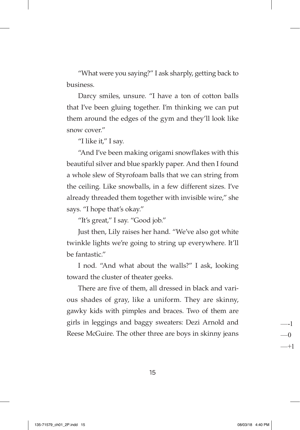"What were you saying?" I ask sharply, getting back to business.

Darcy smiles, unsure. "I have a ton of cotton balls that I've been gluing together. I'm thinking we can put them around the edges of the gym and they'll look like snow cover."

"I like it," I say.

"And I've been making origami snowflakes with this beautiful silver and blue sparkly paper. And then I found a whole slew of Styrofoam balls that we can string from the ceiling. Like snowballs, in a few different sizes. I've already threaded them together with invisible wire," she says. "I hope that's okay."

"It's great," I say. "Good job."

Just then, Lily raises her hand. "We've also got white twinkle lights we're going to string up everywhere. It'll be fantastic."

I nod. "And what about the walls?" I ask, looking toward the cluster of theater geeks.

There are five of them, all dressed in black and various shades of gray, like a uniform. They are skinny, gawky kids with pimples and braces. Two of them are girls in leggings and baggy sweaters: Dezi Arnold and Reese McGuire. The other three are boys in skinny jeans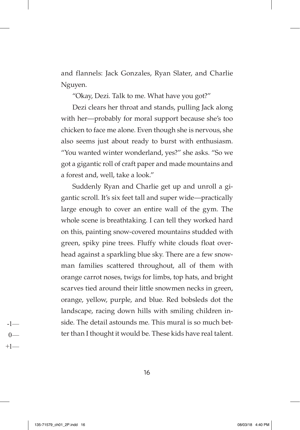and flannels: Jack Gonzales, Ryan Slater, and Charlie Nguyen.

"Okay, Dezi. Talk to me. What have you got?"

Dezi clears her throat and stands, pulling Jack along with her—probably for moral support because she's too chicken to face me alone. Even though she is nervous, she also seems just about ready to burst with enthusiasm. "You wanted winter wonderland, yes?" she asks. "So we got a gigantic roll of craft paper and made mountains and a forest and, well, take a look."

Suddenly Ryan and Charlie get up and unroll a gigantic scroll. It's six feet tall and super wide—practically large enough to cover an entire wall of the gym. The whole scene is breathtaking. I can tell they worked hard on this, painting snow-covered mountains studded with green, spiky pine trees. Fluffy white clouds float overhead against a sparkling blue sky. There are a few snowman families scattered throughout, all of them with orange carrot noses, twigs for limbs, top hats, and bright scarves tied around their little snowmen necks in green, orange, yellow, purple, and blue. Red bobsleds dot the landscape, racing down hills with smiling children inside. The detail astounds me. This mural is so much better than I thought it would be. These kids have real talent.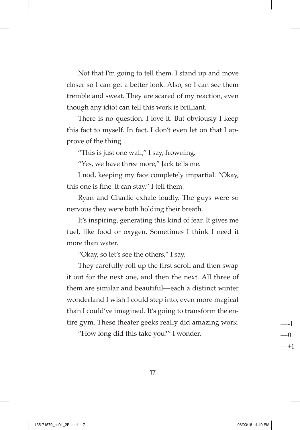Not that I'm going to tell them. I stand up and move closer so I can get a better look. Also, so I can see them tremble and sweat. They are scared of my reaction, even though any idiot can tell this work is brilliant.

There is no question. I love it. But obviously I keep this fact to myself. In fact, I don't even let on that I approve of the thing.

"This is just one wall," I say, frowning.

"Yes, we have three more," Jack tells me.

I nod, keeping my face completely impartial. "Okay, this one is fine. It can stay," I tell them.

Ryan and Charlie exhale loudly. The guys were so nervous they were both holding their breath.

It's inspiring, generating this kind of fear. It gives me fuel, like food or oxygen. Sometimes I think I need it more than water.

"Okay, so let's see the others," I say.

They carefully roll up the first scroll and then swap it out for the next one, and then the next. All three of them are similar and beautiful—each a distinct winter wonderland I wish I could step into, even more magical than I could've imagined. It's going to transform the entire gym. These theater geeks really did amazing work.

"How long did this take you?" I wonder.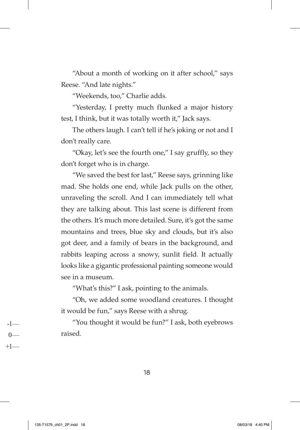"About a month of working on it after school," says Reese. "And late nights."

"Weekends, too," Charlie adds.

"Yesterday, I pretty much flunked a major history test, I think, but it was totally worth it," Jack says.

The others laugh. I can't tell if he's joking or not and I don't really care.

"Okay, let's see the fourth one," I say gruffly, so they don't forget who is in charge.

"We saved the best for last," Reese says, grinning like mad. She holds one end, while Jack pulls on the other, unraveling the scroll. And I can immediately tell what they are talking about. This last scene is different from the others. It's much more detailed. Sure, it's got the same mountains and trees, blue sky and clouds, but it's also got deer, and a family of bears in the background, and rabbits leaping across a snowy, sunlit field. It actually looks like a gigantic professional painting someone would see in a museum.

"What's this?" I ask, pointing to the animals.

"Oh, we added some woodland creatures. I thought it would be fun," says Reese with a shrug.

"You thought it would be fun?" I ask, both eyebrows raised.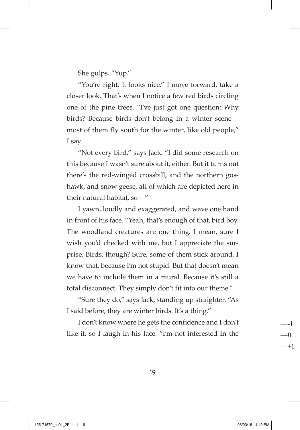She gulps. "Yup."

"You're right. It looks nice." I move forward, take a closer look. That's when I notice a few red birds circling one of the pine trees. "I've just got one question: Why birds? Because birds don't belong in a winter scene most of them fly south for the winter, like old people," I say.

"Not every bird," says Jack. "I did some research on this because I wasn't sure about it, either. But it turns out there's the red-winged crossbill, and the northern goshawk, and snow geese, all of which are depicted here in their natural habitat, so—"

I yawn, loudly and exaggerated, and wave one hand in front of his face. "Yeah, that's enough of that, bird boy. The woodland creatures are one thing. I mean, sure I wish you'd checked with me, but I appreciate the surprise. Birds, though? Sure, some of them stick around. I know that, because I'm not stupid. But that doesn't mean we have to include them in a mural. Because it's still a total disconnect. They simply don't fit into our theme."

"Sure they do," says Jack, standing up straighter. "As I said before, they are winter birds. It's a thing."

I don't know where he gets the confidence and I don't like it, so I laugh in his face. "I'm not interested in the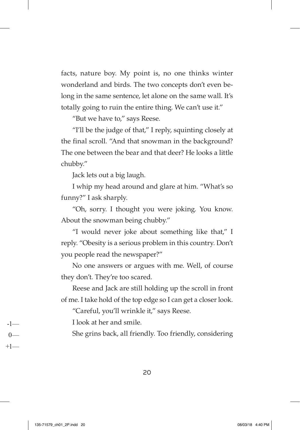facts, nature boy. My point is, no one thinks winter wonderland and birds. The two concepts don't even belong in the same sentence, let alone on the same wall. It's totally going to ruin the entire thing. We can't use it."

"But we have to," says Reese.

"I'll be the judge of that," I reply, squinting closely at the final scroll. "And that snowman in the background? The one between the bear and that deer? He looks a little chubby."

Jack lets out a big laugh.

I whip my head around and glare at him. "What's so funny?" I ask sharply.

"Oh, sorry. I thought you were joking. You know. About the snowman being chubby."

"I would never joke about something like that," I reply. "Obesity is a serious problem in this country. Don't you people read the newspaper?"

No one answers or argues with me. Well, of course they don't. They're too scared.

Reese and Jack are still holding up the scroll in front of me. I take hold of the top edge so I can get a closer look.

"Careful, you'll wrinkle it," says Reese.

I look at her and smile.

She grins back, all friendly. Too friendly, considering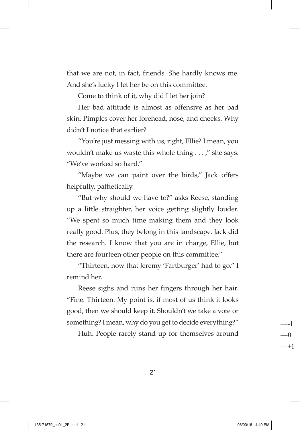that we are not, in fact, friends. She hardly knows me. And she's lucky I let her be on this committee.

Come to think of it, why did I let her join?

Her bad attitude is almost as offensive as her bad skin. Pimples cover her forehead, nose, and cheeks. Why didn't I notice that earlier?

"You're just messing with us, right, Ellie? I mean, you wouldn't make us waste this whole thing . . . ," she says. "We've worked so hard."

"Maybe we can paint over the birds," Jack offers helpfully, pathetically.

"But why should we have to?" asks Reese, standing up a little straighter, her voice getting slightly louder. "We spent so much time making them and they look really good. Plus, they belong in this landscape. Jack did the research. I know that you are in charge, Ellie, but there are fourteen other people on this committee."

"Thirteen, now that Jeremy 'Fartburger' had to go," I remind her.

Reese sighs and runs her fingers through her hair. "Fine. Thirteen. My point is, if most of us think it looks good, then we should keep it. Shouldn't we take a vote or something? I mean, why do you get to decide everything?"

Huh. People rarely stand up for themselves around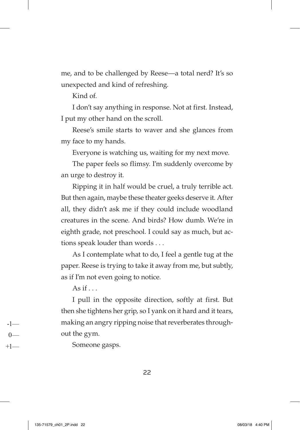me, and to be challenged by Reese—a total nerd? It's so unexpected and kind of refreshing.

Kind of.

I don't say anything in response. Not at first. Instead, I put my other hand on the scroll.

Reese's smile starts to waver and she glances from my face to my hands.

Everyone is watching us, waiting for my next move.

The paper feels so flimsy. I'm suddenly overcome by an urge to destroy it.

Ripping it in half would be cruel, a truly terrible act. But then again, maybe these theater geeks deserve it. After all, they didn't ask me if they could include woodland creatures in the scene. And birds? How dumb. We're in eighth grade, not preschool. I could say as much, but actions speak louder than words . . .

As I contemplate what to do, I feel a gentle tug at the paper. Reese is trying to take it away from me, but subtly, as if I'm not even going to notice.

As if  $\ldots$ 

I pull in the opposite direction, softly at first. But then she tightens her grip, so I yank on it hard and it tears, making an angry ripping noise that reverberates throughout the gym.

Someone gasps.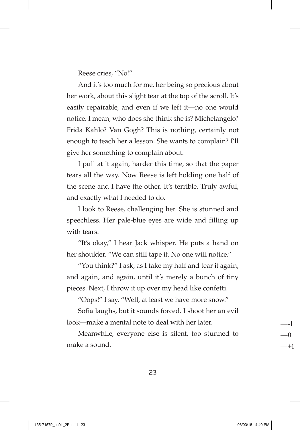Reese cries, "No!"

And it's too much for me, her being so precious about her work, about this slight tear at the top of the scroll. It's easily repairable, and even if we left it—no one would notice. I mean, who does she think she is? Michelangelo? Frida Kahlo? Van Gogh? This is nothing, certainly not enough to teach her a lesson. She wants to complain? I'll give her something to complain about.

I pull at it again, harder this time, so that the paper tears all the way. Now Reese is left holding one half of the scene and I have the other. It's terrible. Truly awful, and exactly what I needed to do.

I look to Reese, challenging her. She is stunned and speechless. Her pale-blue eyes are wide and filling up with tears.

"It's okay," I hear Jack whisper. He puts a hand on her shoulder. "We can still tape it. No one will notice."

"You think?" I ask, as I take my half and tear it again, and again, and again, until it's merely a bunch of tiny pieces. Next, I throw it up over my head like confetti.

"Oops!" I say. "Well, at least we have more snow."

Sofia laughs, but it sounds forced. I shoot her an evil look—make a mental note to deal with her later.

Meanwhile, everyone else is silent, too stunned to make a sound.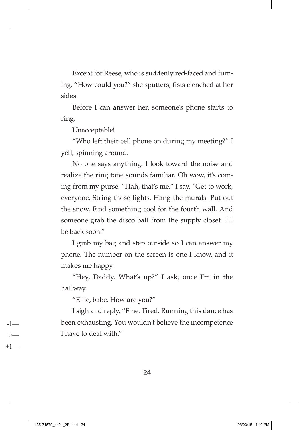Except for Reese, who is suddenly red-faced and fuming. "How could you?" she sputters, fists clenched at her sides.

Before I can answer her, someone's phone starts to ring.

Unacceptable!

"Who left their cell phone on during my meeting?" I yell, spinning around.

No one says anything. I look toward the noise and realize the ring tone sounds familiar. Oh wow, it's coming from my purse. "Hah, that's me," I say. "Get to work, everyone. String those lights. Hang the murals. Put out the snow. Find something cool for the fourth wall. And someone grab the disco ball from the supply closet. I'll be back soon."

I grab my bag and step outside so I can answer my phone. The number on the screen is one I know, and it makes me happy.

"Hey, Daddy. What's up?" I ask, once I'm in the hallway.

"Ellie, babe. How are you?"

I sigh and reply, "Fine. Tired. Running this dance has been exhausting. You wouldn't believe the incompetence I have to deal with"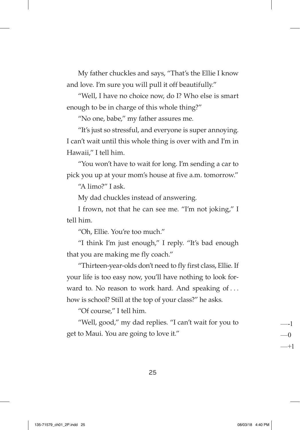My father chuckles and says, "That's the Ellie I know and love. I'm sure you will pull it off beautifully."

"Well, I have no choice now, do I? Who else is smart enough to be in charge of this whole thing?"

"No one, babe," my father assures me.

"It's just so stressful, and everyone is super annoying. I can't wait until this whole thing is over with and I'm in Hawaii," I tell him.

"You won't have to wait for long. I'm sending a car to pick you up at your mom's house at five a.m. tomorrow."

"A limo?" I ask.

My dad chuckles instead of answering.

I frown, not that he can see me. "I'm not joking," I tell him.

"Oh, Ellie. You're too much."

"I think I'm just enough," I reply. "It's bad enough that you are making me fly coach."

"Thirteen-year-olds don't need to fly first class, Ellie. If your life is too easy now, you'll have nothing to look forward to. No reason to work hard. And speaking of ... how is school? Still at the top of your class?" he asks.

"Of course," I tell him.

"Well, good," my dad replies. "I can't wait for you to get to Maui. You are going to love it."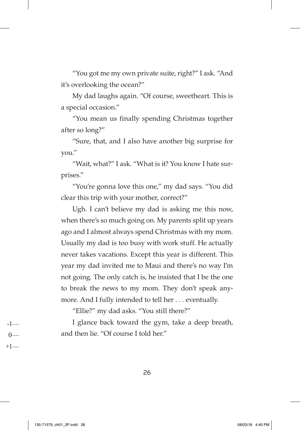"You got me my own private suite, right?" I ask. "And it's overlooking the ocean?"

My dad laughs again. "Of course, sweetheart. This is a special occasion."

"You mean us finally spending Christmas together after so long?"

"Sure, that, and I also have another big surprise for you."

"Wait, what?" I ask. "What is it? You know I hate surprises."

"You're gonna love this one," my dad says. "You did clear this trip with your mother, correct?"

Ugh. I can't believe my dad is asking me this now, when there's so much going on. My parents split up years ago and I almost always spend Christmas with my mom. Usually my dad is too busy with work stuff. He actually never takes vacations. Except this year is different. This year my dad invited me to Maui and there's no way I'm not going. The only catch is, he insisted that I be the one to break the news to my mom. They don't speak anymore. And I fully intended to tell her . . . eventually.

"Ellie?" my dad asks. "You still there?"

I glance back toward the gym, take a deep breath, and then lie. "Of course I told her."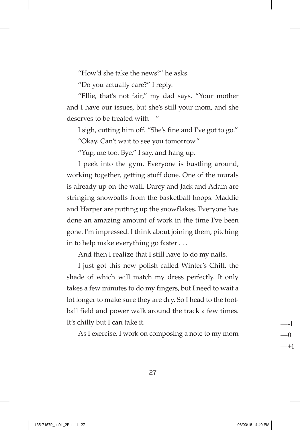"How'd she take the news?" he asks.

"Do you actually care?" I reply.

"Ellie, that's not fair," my dad says. "Your mother and I have our issues, but she's still your mom, and she deserves to be treated with—"

I sigh, cutting him off. "She's fine and I've got to go."

"Okay. Can't wait to see you tomorrow."

"Yup, me too. Bye," I say, and hang up.

I peek into the gym. Everyone is bustling around, working together, getting stuff done. One of the murals is already up on the wall. Darcy and Jack and Adam are stringing snowballs from the basketball hoops. Maddie and Harper are putting up the snowflakes. Everyone has done an amazing amount of work in the time I've been gone. I'm impressed. I think about joining them, pitching in to help make everything go faster . . .

And then I realize that I still have to do my nails.

I just got this new polish called Winter's Chill, the shade of which will match my dress perfectly. It only takes a few minutes to do my fingers, but I need to wait a lot longer to make sure they are dry. So I head to the football field and power walk around the track a few times. It's chilly but I can take it.

As I exercise, I work on composing a note to my mom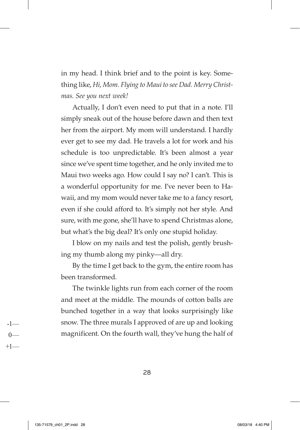in my head. I think brief and to the point is key. Something like, *Hi, Mom. Flying to Maui to see Dad. Merry Christmas. See you next week!*

Actually, I don't even need to put that in a note. I'll simply sneak out of the house before dawn and then text her from the airport. My mom will understand. I hardly ever get to see my dad. He travels a lot for work and his schedule is too unpredictable. It's been almost a year since we've spent time together, and he only invited me to Maui two weeks ago. How could I say no? I can't. This is a wonderful opportunity for me. I've never been to Hawaii, and my mom would never take me to a fancy resort, even if she could afford to. It's simply not her style. And sure, with me gone, she'll have to spend Christmas alone, but what's the big deal? It's only one stupid holiday.

I blow on my nails and test the polish, gently brushing my thumb along my pinky—all dry.

By the time I get back to the gym, the entire room has been transformed.

The twinkle lights run from each corner of the room and meet at the middle. The mounds of cotton balls are bunched together in a way that looks surprisingly like snow. The three murals I approved of are up and looking magnificent. On the fourth wall, they've hung the half of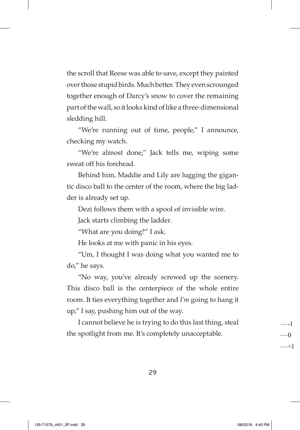the scroll that Reese was able to save, except they painted over those stupid birds. Much better. They even scrounged together enough of Darcy's snow to cover the remaining part of the wall, so it looks kind of like a three-dimensional sledding hill.

"We're running out of time, people," I announce, checking my watch.

"We're almost done," Jack tells me, wiping some sweat off his forehead.

Behind him, Maddie and Lily are lugging the gigantic disco ball to the center of the room, where the big ladder is already set up.

Dezi follows them with a spool of invisible wire.

Jack starts climbing the ladder.

"What are you doing?" I ask.

He looks at me with panic in his eyes.

"Um, I thought I was doing what you wanted me to do," he says.

"No way, you've already screwed up the scenery. This disco ball is the centerpiece of the whole entire room. It ties everything together and *I'm* going to hang it up," I say, pushing him out of the way.

I cannot believe he is trying to do this last thing, steal the spotlight from me. It's completely unacceptable.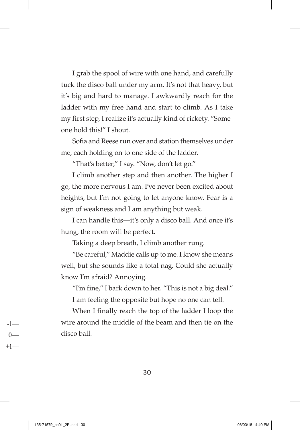I grab the spool of wire with one hand, and carefully tuck the disco ball under my arm. It's not that heavy, but it's big and hard to manage. I awkwardly reach for the ladder with my free hand and start to climb. As I take my first step, I realize it's actually kind of rickety. "Someone hold this!" I shout.

Sofia and Reese run over and station themselves under me, each holding on to one side of the ladder.

"That's better," I say. "Now, don't let go."

I climb another step and then another. The higher I go, the more nervous I am. I've never been excited about heights, but I'm not going to let anyone know. Fear is a sign of weakness and I am anything but weak.

I can handle this—it's only a disco ball. And once it's hung, the room will be perfect.

Taking a deep breath, I climb another rung.

"Be careful," Maddie calls up to me. I know she means well, but she sounds like a total nag. Could she actually know I'm afraid? Annoying.

"I'm fine," I bark down to her. "This is not a big deal."

I am feeling the opposite but hope no one can tell.

When I finally reach the top of the ladder I loop the wire around the middle of the beam and then tie on the disco ball.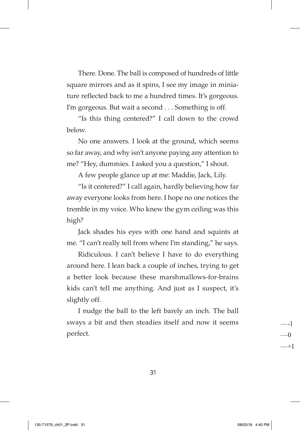There. Done. The ball is composed of hundreds of little square mirrors and as it spins, I see my image in miniature reflected back to me a hundred times. It's gorgeous. I'm gorgeous. But wait a second . . . Something is off.

"Is this thing centered?" I call down to the crowd below.

No one answers. I look at the ground, which seems so far away, and why isn't anyone paying any attention to me? "Hey, dummies. I asked you a question," I shout.

A few people glance up at me: Maddie, Jack, Lily.

"Is it centered?" I call again, hardly believing how far away everyone looks from here. I hope no one notices the tremble in my voice. Who knew the gym ceiling was this high?

Jack shades his eyes with one hand and squints at me. "I can't really tell from where I'm standing," he says.

Ridiculous. I can't believe I have to do everything around here. I lean back a couple of inches, trying to get a better look because these marshmallows-for-brains kids can't tell me anything. And just as I suspect, it's slightly off.

I nudge the ball to the left barely an inch. The ball sways a bit and then steadies itself and now it seems perfect.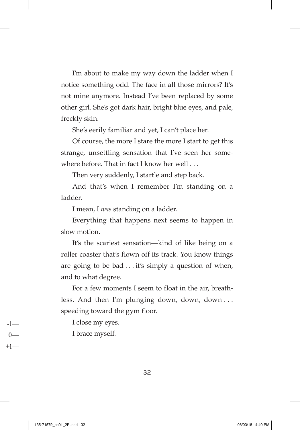I'm about to make my way down the ladder when I notice something odd. The face in all those mirrors? It's not mine anymore. Instead I've been replaced by some other girl. She's got dark hair, bright blue eyes, and pale, freckly skin.

She's eerily familiar and yet, I can't place her.

Of course, the more I stare the more I start to get this strange, unsettling sensation that I've seen her somewhere before. That in fact I know her well ...

Then very suddenly, I startle and step back.

And that's when I remember I'm standing on a ladder.

I mean, I *was* standing on a ladder.

Everything that happens next seems to happen in slow motion.

It's the scariest sensation—kind of like being on a roller coaster that's flown off its track. You know things are going to be bad  $\dots$  it's simply a question of when, and to what degree.

For a few moments I seem to float in the air, breathless. And then I'm plunging down, down, down . . . speeding toward the gym floor.

I close my eyes.

I brace myself.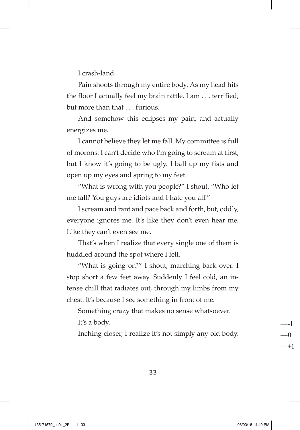I crash-land.

Pain shoots through my entire body. As my head hits the floor I actually feel my brain rattle. I am . . . terrified, but more than that . . . furious.

And somehow this eclipses my pain, and actually energizes me.

I cannot believe they let me fall. My committee is full of morons. I can't decide who I'm going to scream at first, but I know it's going to be ugly. I ball up my fists and open up my eyes and spring to my feet.

"What is wrong with you people?" I shout. "Who let me fall? You guys are idiots and I hate you all!"

I scream and rant and pace back and forth, but, oddly, everyone ignores me. It's like they don't even hear me. Like they can't even see me.

That's when I realize that every single one of them is huddled around the spot where I fell.

"What is going on?" I shout, marching back over. I stop short a few feet away. Suddenly I feel cold, an intense chill that radiates out, through my limbs from my chest. It's because I see something in front of me.

Something crazy that makes no sense whatsoever. It's a body.

Inching closer, I realize it's not simply any old body.